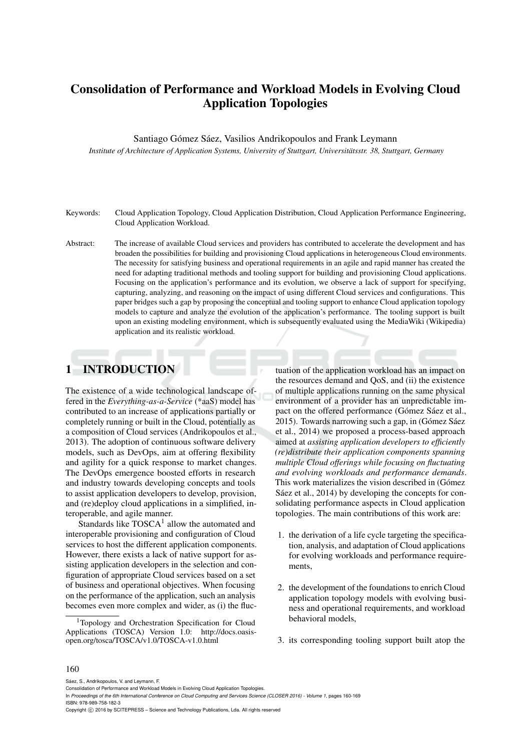# Consolidation of Performance and Workload Models in Evolving Cloud Application Topologies

Santiago Gómez Sáez, Vasilios Andrikopoulos and Frank Leymann

*Institute of Architecture of Application Systems, University of Stuttgart, Universitatsstr. 38, Stuttgart, Germany ¨*

- Keywords: Cloud Application Topology, Cloud Application Distribution, Cloud Application Performance Engineering, Cloud Application Workload.
- Abstract: The increase of available Cloud services and providers has contributed to accelerate the development and has broaden the possibilities for building and provisioning Cloud applications in heterogeneous Cloud environments. The necessity for satisfying business and operational requirements in an agile and rapid manner has created the need for adapting traditional methods and tooling support for building and provisioning Cloud applications. Focusing on the application's performance and its evolution, we observe a lack of support for specifying, capturing, analyzing, and reasoning on the impact of using different Cloud services and configurations. This paper bridges such a gap by proposing the conceptual and tooling support to enhance Cloud application topology models to capture and analyze the evolution of the application's performance. The tooling support is built upon an existing modeling environment, which is subsequently evaluated using the MediaWiki (Wikipedia) application and its realistic workload.

## 1 INTRODUCTION

The existence of a wide technological landscape offered in the *Everything-as-a-Service* (\*aaS) model has contributed to an increase of applications partially or completely running or built in the Cloud, potentially as a composition of Cloud services (Andrikopoulos et al., 2013). The adoption of continuous software delivery models, such as DevOps, aim at offering flexibility and agility for a quick response to market changes. The DevOps emergence boosted efforts in research and industry towards developing concepts and tools to assist application developers to develop, provision, and (re)deploy cloud applications in a simplified, interoperable, and agile manner.

Standards like TOSCA<sup>1</sup> allow the automated and interoperable provisioning and configuration of Cloud services to host the different application components. However, there exists a lack of native support for assisting application developers in the selection and configuration of appropriate Cloud services based on a set of business and operational objectives. When focusing on the performance of the application, such an analysis becomes even more complex and wider, as (i) the fluctuation of the application workload has an impact on the resources demand and QoS, and (ii) the existence of multiple applications running on the same physical environment of a provider has an unpredictable impact on the offered performance (Gómez Sáez et al., 2015). Towards narrowing such a gap, in (Gómez Sáez et al., 2014) we proposed a process-based approach aimed at *assisting application developers to efficiently (re)distribute their application components spanning multiple Cloud offerings while focusing on fluctuating and evolving workloads and performance demands*. This work materializes the vision described in (Gómez Sáez et al., 2014) by developing the concepts for consolidating performance aspects in Cloud application topologies. The main contributions of this work are:

- 1. the derivation of a life cycle targeting the specification, analysis, and adaptation of Cloud applications for evolving workloads and performance requirements,
- 2. the development of the foundations to enrich Cloud application topology models with evolving business and operational requirements, and workload behavioral models,
- 3. its corresponding tooling support built atop the

#### 160

Sáez, S., Andrikopoulos, V. and Leymann, F.

<sup>1</sup>Topology and Orchestration Specification for Cloud Applications (TOSCA) Version 1.0: http://docs.oasisopen.org/tosca/TOSCA/v1.0/TOSCA-v1.0.html

Consolidation of Performance and Workload Models in Evolving Cloud Application Topologies.

In Proceedings of the 6th International Conference on Cloud Computing and Services Science (CLOSER 2016) - Volume 1, pages 160-169 ISBN: 978-989-758-182-3

Copyright C 2016 by SCITEPRESS – Science and Technology Publications, Lda. All rights reserved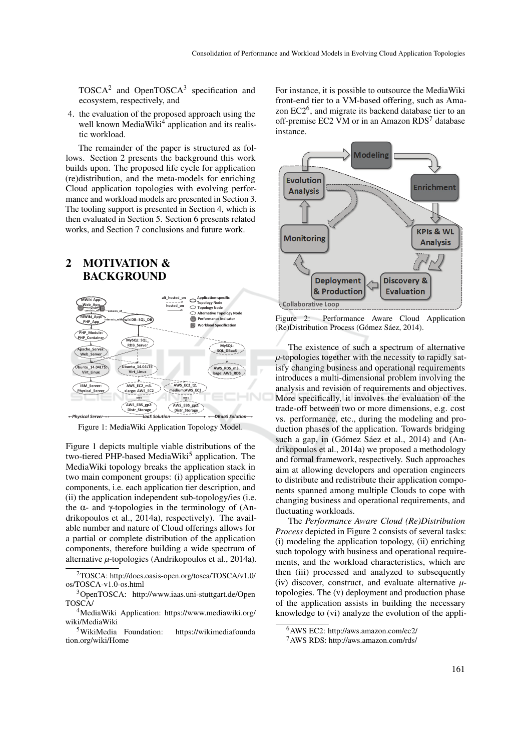$TOSCA<sup>2</sup>$  and OpenTOSCA<sup>3</sup> specification and ecosystem, respectively, and

4. the evaluation of the proposed approach using the well known MediaWiki<sup>4</sup> application and its realistic workload.

The remainder of the paper is structured as follows. Section 2 presents the background this work builds upon. The proposed life cycle for application (re)distribution, and the meta-models for enriching Cloud application topologies with evolving performance and workload models are presented in Section 3. The tooling support is presented in Section 4, which is then evaluated in Section 5. Section 6 presents related works, and Section 7 conclusions and future work.

#### 2 MOTIVATION & BACKGROUND



Figure 1: MediaWiki Application Topology Model.

Figure 1 depicts multiple viable distributions of the two-tiered PHP-based MediaWiki<sup>5</sup> application. The MediaWiki topology breaks the application stack in two main component groups: (i) application specific components, i.e. each application tier description, and (ii) the application independent sub-topology/ies (i.e. the α- and γ-topologies in the terminology of  $(An$ drikopoulos et al., 2014a), respectively). The available number and nature of Cloud offerings allows for a partial or complete distribution of the application components, therefore building a wide spectrum of alternative *µ*-topologies (Andrikopoulos et al., 2014a). For instance, it is possible to outsource the MediaWiki front-end tier to a VM-based offering, such as Amazon EC2<sup>6</sup>, and migrate its backend database tier to an off-premise EC2 VM or in an Amazon RDS<sup>7</sup> database instance.



Figure 2: Performance Aware Cloud Application (Re)Distribution Process (Gómez Sáez, 2014).

The existence of such a spectrum of alternative *µ*-topologies together with the necessity to rapidly satisfy changing business and operational requirements introduces a multi-dimensional problem involving the analysis and revision of requirements and objectives. More specifically, it involves the evaluation of the trade-off between two or more dimensions, e.g. cost vs. performance, etc., during the modeling and production phases of the application. Towards bridging such a gap, in (Gómez Sáez et al., 2014) and (Andrikopoulos et al., 2014a) we proposed a methodology and formal framework, respectively. Such approaches aim at allowing developers and operation engineers to distribute and redistribute their application components spanned among multiple Clouds to cope with changing business and operational requirements, and fluctuating workloads.

The *Performance Aware Cloud (Re)Distribution Process* depicted in Figure 2 consists of several tasks: (i) modeling the application topology, (ii) enriching such topology with business and operational requirements, and the workload characteristics, which are then (iii) processed and analyzed to subsequently (iv) discover, construct, and evaluate alternative  $\mu$ topologies. The (v) deployment and production phase of the application assists in building the necessary knowledge to (vi) analyze the evolution of the appli-

<sup>2</sup>TOSCA: http://docs.oasis-open.org/tosca/TOSCA/v1.0/ os/TOSCA-v1.0-os.html

<sup>3</sup>OpenTOSCA: http://www.iaas.uni-stuttgart.de/Open TOSCA/

<sup>4</sup>MediaWiki Application: https://www.mediawiki.org/ wiki/MediaWiki

<sup>5</sup>WikiMedia Foundation: https://wikimediafounda tion.org/wiki/Home

<sup>6</sup>AWS EC2: http://aws.amazon.com/ec2/

<sup>7</sup>AWS RDS: http://aws.amazon.com/rds/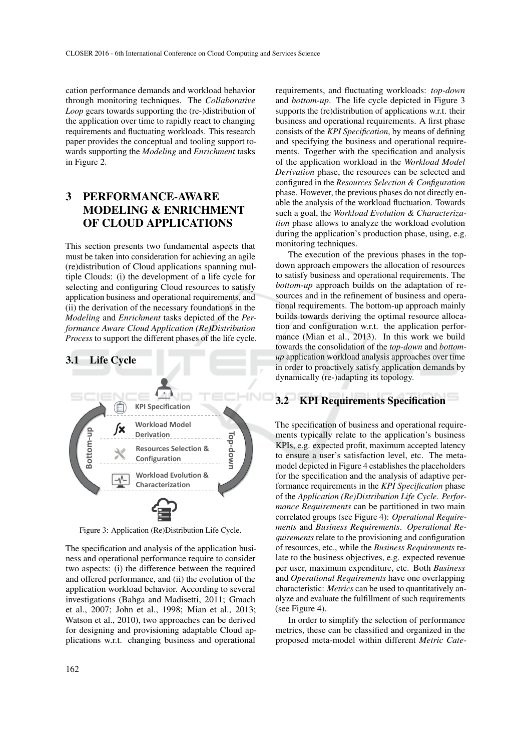cation performance demands and workload behavior through monitoring techniques. The *Collaborative Loop* gears towards supporting the (re-)distribution of the application over time to rapidly react to changing requirements and fluctuating workloads. This research paper provides the conceptual and tooling support towards supporting the *Modeling* and *Enrichment* tasks in Figure 2.

# 3 PERFORMANCE-AWARE MODELING & ENRICHMENT OF CLOUD APPLICATIONS

This section presents two fundamental aspects that must be taken into consideration for achieving an agile (re)distribution of Cloud applications spanning multiple Clouds: (i) the development of a life cycle for selecting and configuring Cloud resources to satisfy application business and operational requirements, and (ii) the derivation of the necessary foundations in the *Modeling* and *Enrichment* tasks depicted of the *Performance Aware Cloud Application (Re)Distribution Process* to support the different phases of the life cycle.



Figure 3: Application (Re)Distribution Life Cycle.

The specification and analysis of the application business and operational performance require to consider two aspects: (i) the difference between the required and offered performance, and (ii) the evolution of the application workload behavior. According to several investigations (Bahga and Madisetti, 2011; Gmach et al., 2007; John et al., 1998; Mian et al., 2013; Watson et al., 2010), two approaches can be derived for designing and provisioning adaptable Cloud applications w.r.t. changing business and operational requirements, and fluctuating workloads: *top-down* and *bottom-up*. The life cycle depicted in Figure 3 supports the (re)distribution of applications w.r.t. their business and operational requirements. A first phase consists of the *KPI Specification*, by means of defining and specifying the business and operational requirements. Together with the specification and analysis of the application workload in the *Workload Model Derivation* phase, the resources can be selected and configured in the *Resources Selection & Configuration* phase. However, the previous phases do not directly enable the analysis of the workload fluctuation. Towards such a goal, the *Workload Evolution & Characterization* phase allows to analyze the workload evolution during the application's production phase, using, e.g. monitoring techniques.

The execution of the previous phases in the topdown approach empowers the allocation of resources to satisfy business and operational requirements. The *bottom-up* approach builds on the adaptation of resources and in the refinement of business and operational requirements. The bottom-up approach mainly builds towards deriving the optimal resource allocation and configuration w.r.t. the application performance (Mian et al., 2013). In this work we build towards the consolidation of the *top-down* and *bottomup* application workload analysis approaches over time in order to proactively satisfy application demands by dynamically (re-)adapting its topology.

#### 3.2 KPI Requirements Specification

The specification of business and operational requirements typically relate to the application's business KPIs, e.g. expected profit, maximum accepted latency to ensure a user's satisfaction level, etc. The metamodel depicted in Figure 4 establishes the placeholders for the specification and the analysis of adaptive performance requirements in the *KPI Specification* phase of the *Application (Re)Distribution Life Cycle*. *Performance Requirements* can be partitioned in two main correlated groups (see Figure 4): *Operational Requirements* and *Business Requirements*. *Operational Requirements* relate to the provisioning and configuration of resources, etc., while the *Business Requirements* relate to the business objectives, e.g. expected revenue per user, maximum expenditure, etc. Both *Business* and *Operational Requirements* have one overlapping characteristic: *Metrics* can be used to quantitatively analyze and evaluate the fulfillment of such requirements (see Figure 4).

In order to simplify the selection of performance metrics, these can be classified and organized in the proposed meta-model within different *Metric Cate-*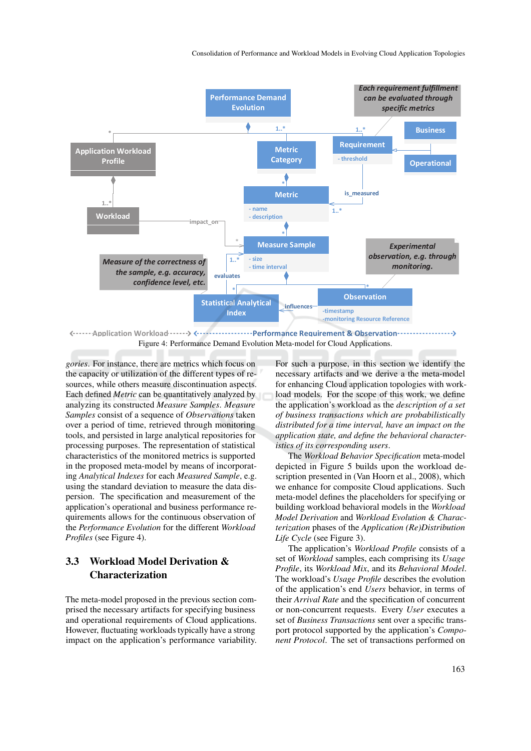

Figure 4: Performance Demand Evolution Meta-model for Cloud Applications.

*gories*. For instance, there are metrics which focus on the capacity or utilization of the different types of resources, while others measure discontinuation aspects. Each defined *Metric* can be quantitatively analyzed by analyzing its constructed *Measure Samples*. *Measure Samples* consist of a sequence of *Observations* taken over a period of time, retrieved through monitoring tools, and persisted in large analytical repositories for processing purposes. The representation of statistical characteristics of the monitored metrics is supported in the proposed meta-model by means of incorporating *Analytical Indexes* for each *Measured Sample*, e.g. using the standard deviation to measure the data dispersion. The specification and measurement of the application's operational and business performance requirements allows for the continuous observation of the *Performance Evolution* for the different *Workload Profiles* (see Figure 4).

## 3.3 Workload Model Derivation & Characterization

The meta-model proposed in the previous section comprised the necessary artifacts for specifying business and operational requirements of Cloud applications. However, fluctuating workloads typically have a strong impact on the application's performance variability. For such a purpose, in this section we identify the necessary artifacts and we derive a the meta-model for enhancing Cloud application topologies with workload models. For the scope of this work, we define the application's workload as the *description of a set of business transactions which are probabilistically distributed for a time interval, have an impact on the application state, and define the behavioral characteristics of its corresponding users*.

The *Workload Behavior Specification* meta-model depicted in Figure 5 builds upon the workload description presented in (Van Hoorn et al., 2008), which we enhance for composite Cloud applications. Such meta-model defines the placeholders for specifying or building workload behavioral models in the *Workload Model Derivation* and *Workload Evolution & Characterization* phases of the *Application (Re)Distribution Life Cycle* (see Figure 3).

The application's *Workload Profile* consists of a set of *Workload* samples, each comprising its *Usage Profile*, its *Workload Mix*, and its *Behavioral Model*. The workload's *Usage Profile* describes the evolution of the application's end *Users* behavior, in terms of their *Arrival Rate* and the specification of concurrent or non-concurrent requests. Every *User* executes a set of *Business Transactions* sent over a specific transport protocol supported by the application's *Component Protocol*. The set of transactions performed on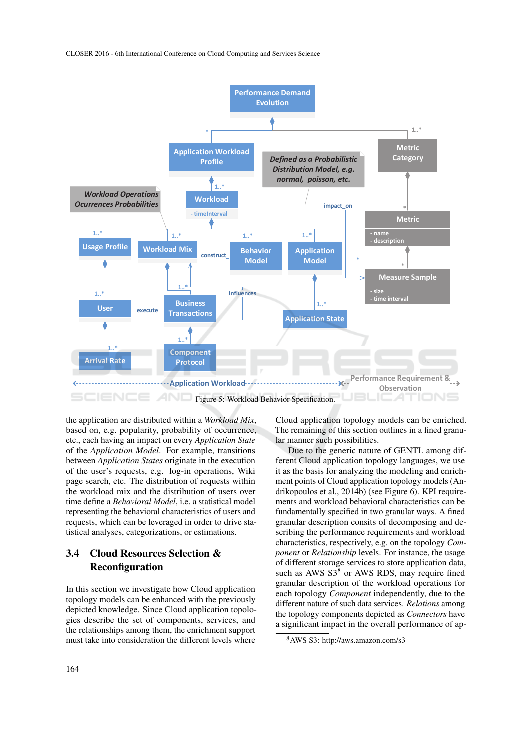

the application are distributed within a *Workload Mix*, based on, e.g. popularity, probability of occurrence, etc., each having an impact on every *Application State* of the *Application Model*. For example, transitions between *Application States* originate in the execution of the user's requests, e.g. log-in operations, Wiki page search, etc. The distribution of requests within the workload mix and the distribution of users over time define a *Behavioral Model*, i.e. a statistical model representing the behavioral characteristics of users and requests, which can be leveraged in order to drive statistical analyses, categorizations, or estimations.

### 3.4 Cloud Resources Selection & Reconfiguration

In this section we investigate how Cloud application topology models can be enhanced with the previously depicted knowledge. Since Cloud application topologies describe the set of components, services, and the relationships among them, the enrichment support must take into consideration the different levels where Cloud application topology models can be enriched. The remaining of this section outlines in a fined granular manner such possibilities.

Due to the generic nature of GENTL among different Cloud application topology languages, we use it as the basis for analyzing the modeling and enrichment points of Cloud application topology models (Andrikopoulos et al., 2014b) (see Figure 6). KPI requirements and workload behavioral characteristics can be fundamentally specified in two granular ways. A fined granular description consits of decomposing and describing the performance requirements and workload characteristics, respectively, e.g. on the topology *Component* or *Relationship* levels. For instance, the usage of different storage services to store application data, such as AWS  $S3^8$  or AWS RDS, may require fined granular description of the workload operations for each topology *Component* independently, due to the different nature of such data services. *Relations* among the topology components depicted as *Connectors* have a significant impact in the overall performance of ap-

<sup>8</sup>AWS S3: http://aws.amazon.com/s3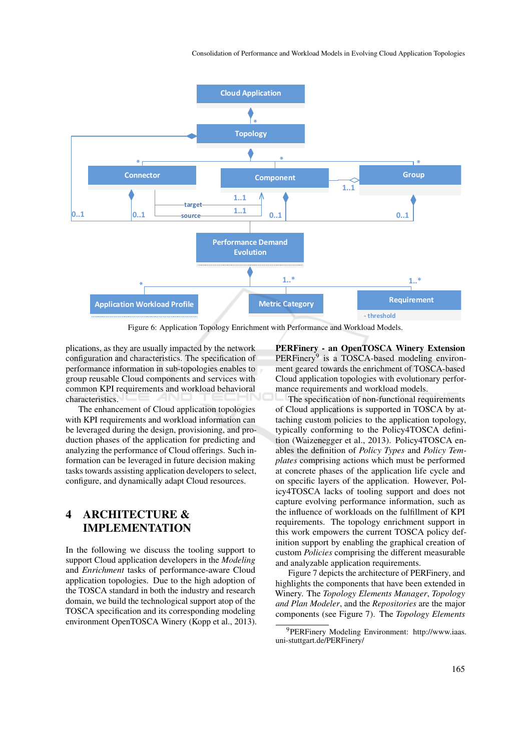

Figure 6: Application Topology Enrichment with Performance and Workload Models.

plications, as they are usually impacted by the network configuration and characteristics. The specification of performance information in sub-topologies enables to group reusable Cloud components and services with common KPI requirements and workload behavioral characteristics.

The enhancement of Cloud application topologies with KPI requirements and workload information can be leveraged during the design, provisioning, and production phases of the application for predicting and analyzing the performance of Cloud offerings. Such information can be leveraged in future decision making tasks towards assisting application developers to select, configure, and dynamically adapt Cloud resources.

## 4 ARCHITECTURE & IMPLEMENTATION

In the following we discuss the tooling support to support Cloud application developers in the *Modeling* and *Enrichment* tasks of performance-aware Cloud application topologies. Due to the high adoption of the TOSCA standard in both the industry and research domain, we build the technological support atop of the TOSCA specification and its corresponding modeling environment OpenTOSCA Winery (Kopp et al., 2013). PERFinery - an OpenTOSCA Winery Extension PERFinery<sup>9</sup> is a TOSCA-based modeling environment geared towards the enrichment of TOSCA-based Cloud application topologies with evolutionary performance requirements and workload models.

The specification of non-functional requirements of Cloud applications is supported in TOSCA by attaching custom policies to the application topology, typically conforming to the Policy4TOSCA definition (Waizenegger et al., 2013). Policy4TOSCA enables the definition of *Policy Types* and *Policy Templates* comprising actions which must be performed at concrete phases of the application life cycle and on specific layers of the application. However, Policy4TOSCA lacks of tooling support and does not capture evolving performance information, such as the influence of workloads on the fulfillment of KPI requirements. The topology enrichment support in this work empowers the current TOSCA policy definition support by enabling the graphical creation of custom *Policies* comprising the different measurable and analyzable application requirements.

Figure 7 depicts the architecture of PERFinery, and highlights the components that have been extended in Winery. The *Topology Elements Manager*, *Topology and Plan Modeler*, and the *Repositories* are the major components (see Figure 7). The *Topology Elements*

<sup>9</sup>PERFinery Modeling Environment: http://www.iaas. uni-stuttgart.de/PERFinery/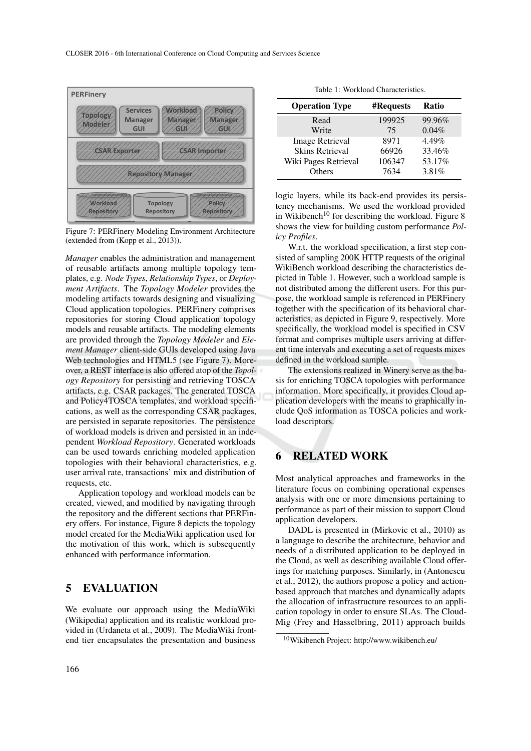

Figure 7: PERFinery Modeling Environment Architecture (extended from (Kopp et al., 2013)).

*Manager* enables the administration and management of reusable artifacts among multiple topology templates, e.g. *Node Types*, *Relationship Types*, or *Deployment Artifacts*. The *Topology Modeler* provides the modeling artifacts towards designing and visualizing Cloud application topologies. PERFinery comprises repositories for storing Cloud application topology models and reusable artifacts. The modeling elements are provided through the *Topology Modeler* and *Element Manager* client-side GUIs developed using Java Web technologies and HTML5 (see Figure 7). Moreover, a REST interface is also offered atop of the *Topology Repository* for persisting and retrieving TOSCA artifacts, e.g. CSAR packages. The generated TOSCA and Policy4TOSCA templates, and workload specifications, as well as the corresponding CSAR packages, are persisted in separate repositories. The persistence of workload models is driven and persisted in an independent *Workload Repository*. Generated workloads can be used towards enriching modeled application topologies with their behavioral characteristics, e.g. user arrival rate, transactions' mix and distribution of requests, etc.

Application topology and workload models can be created, viewed, and modified by navigating through the repository and the different sections that PERFinery offers. For instance, Figure 8 depicts the topology model created for the MediaWiki application used for the motivation of this work, which is subsequently enhanced with performance information.

#### 5 EVALUATION

We evaluate our approach using the MediaWiki (Wikipedia) application and its realistic workload provided in (Urdaneta et al., 2009). The MediaWiki frontend tier encapsulates the presentation and business

| <b>Operation Type</b>  | <b>#Requests</b> | <b>Ratio</b> |  |  |
|------------------------|------------------|--------------|--|--|
| Read                   | 199925           | 99.96%       |  |  |
| Write                  | 75               | 0.04%        |  |  |
| Image Retrieval        | 8971             | 4.49%        |  |  |
| <b>Skins Retrieval</b> | 66926            | 33.46%       |  |  |
| Wiki Pages Retrieval   | 106347           | 53.17%       |  |  |
| Others                 | 7634             | 3.81%        |  |  |
|                        |                  |              |  |  |

logic layers, while its back-end provides its persistency mechanisms. We used the workload provided in Wikibench<sup>10</sup> for describing the workload. Figure 8 shows the view for building custom performance *Policy Profiles*.

W.r.t. the workload specification, a first step consisted of sampling 200K HTTP requests of the original WikiBench workload describing the characteristics depicted in Table 1. However, such a workload sample is not distributed among the different users. For this purpose, the workload sample is referenced in PERFinery together with the specification of its behavioral characteristics, as depicted in Figure 9, respectively. More specifically, the workload model is specified in CSV format and comprises multiple users arriving at different time intervals and executing a set of requests mixes defined in the workload sample.

The extensions realized in Winery serve as the basis for enriching TOSCA topologies with performance information. More specifically, it provides Cloud application developers with the means to graphically include QoS information as TOSCA policies and workload descriptors.

#### 6 RELATED WORK

Most analytical approaches and frameworks in the literature focus on combining operational expenses analysis with one or more dimensions pertaining to performance as part of their mission to support Cloud application developers.

DADL is presented in (Mirkovic et al., 2010) as a language to describe the architecture, behavior and needs of a distributed application to be deployed in the Cloud, as well as describing available Cloud offerings for matching purposes. Similarly, in (Antonescu et al., 2012), the authors propose a policy and actionbased approach that matches and dynamically adapts the allocation of infrastructure resources to an application topology in order to ensure SLAs. The Cloud-Mig (Frey and Hasselbring, 2011) approach builds

<sup>10</sup>Wikibench Project: http://www.wikibench.eu/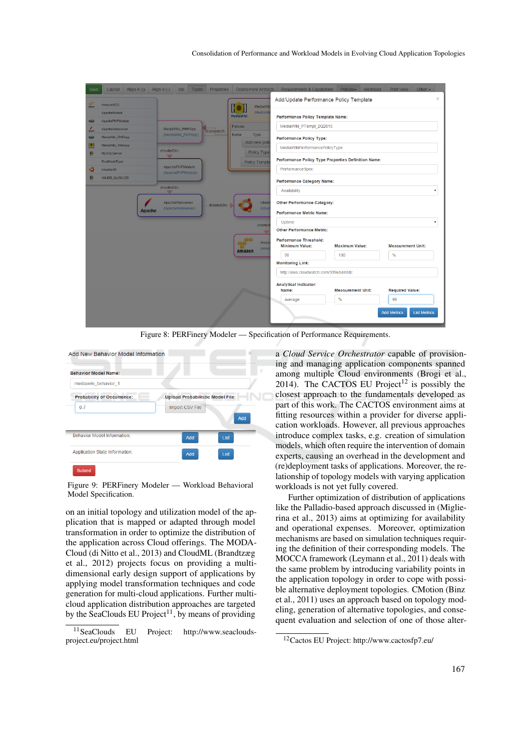| <b>Save</b>                                                     | Align-h ( )<br>Lavout              |               | Align- $V(-)$   | <b>Ids</b>                                         | Types | Properties   |                                                                                                                              | Deployment Artifacts                   | Requirements & Capabilities   Policies                                |                          | Workload | Print View               | Other $\sim$        |
|-----------------------------------------------------------------|------------------------------------|---------------|-----------------|----------------------------------------------------|-------|--------------|------------------------------------------------------------------------------------------------------------------------------|----------------------------------------|-----------------------------------------------------------------------|--------------------------|----------|--------------------------|---------------------|
|                                                                 | AmazonEC2                          |               |                 |                                                    |       |              | MediaWik<br>(MediaWi<br><b>MediaWiki</b><br>Policies<br>Name<br><b>Type</b><br>Add new polic<br>Policy Type<br>Policy Templa | Add/Update Performance Policy Template |                                                                       |                          |          | $\times$                 |                     |
|                                                                 | ApacheModule                       |               |                 |                                                    |       |              |                                                                                                                              |                                        | <b>Performance Policy Template Name:</b>                              |                          |          |                          |                     |
|                                                                 | ApachePHPModule<br>ApacheWebserver |               |                 | MediaWiki_PHPApp                                   |       | (ConsistsOf) |                                                                                                                              |                                        | MediaWiki PTempl 2Q2015                                               |                          |          |                          |                     |
|                                                                 | MediaWiki_PHPApp                   |               |                 | (MediaWiki_PHPApp)                                 |       |              |                                                                                                                              |                                        | <b>Performance Policy Type:</b>                                       |                          |          |                          |                     |
| G                                                               | MediaWiki WebApp<br>MySQLServer    |               | (HostedOn)<br>┳ |                                                    |       |              |                                                                                                                              |                                        | MediaWikiPerformancePolicyType                                        |                          |          |                          |                     |
|                                                                 | RootNodeType                       |               |                 | ApachePHPModule                                    |       |              |                                                                                                                              |                                        | Performance Policy Type Properties Definition Name:                   |                          |          |                          |                     |
| œ                                                               | UbuntuVM<br>WikiDB_MySQLDB         |               |                 | (ApachePHPModule)                                  |       |              |                                                                                                                              |                                        | PerformanceSpec                                                       |                          |          |                          |                     |
|                                                                 |                                    |               | (HostedOn)      |                                                    |       |              |                                                                                                                              |                                        | Performance Category Name:<br>Availability                            |                          |          |                          |                     |
|                                                                 |                                    | <b>Apache</b> |                 | ApacheWebserver<br>(HostedOn)<br>(ApacheWebserver) |       |              |                                                                                                                              | Ubunt<br>(Ubur                         | <b>Other Performance Category:</b><br><b>Performance Metric Name:</b> |                          |          |                          |                     |
|                                                                 |                                    |               |                 |                                                    |       |              |                                                                                                                              | (Hosted                                | Uptime<br><b>Other Performance Metric:</b>                            |                          |          |                          |                     |
|                                                                 |                                    |               |                 |                                                    |       |              | m                                                                                                                            | <b>Dù</b><br>Amazi<br>(Ama<br>amazon   | Performance Threshold:<br><b>Minimum Value:</b>                       | <b>Maximum Value:</b>    |          | <b>Measurement Unit:</b> |                     |
|                                                                 |                                    |               |                 |                                                    |       |              |                                                                                                                              |                                        | 98                                                                    | 100                      |          | $\frac{9}{6}$            |                     |
| <b>Monitoring Link:</b><br>http://aws.cloudwatch.com/339ub440dc |                                    |               |                 |                                                    |       |              |                                                                                                                              |                                        |                                                                       |                          |          |                          |                     |
|                                                                 |                                    |               |                 |                                                    |       |              |                                                                                                                              |                                        | <b>Analytical Indicator:</b><br>Name:                                 | <b>Measurement Unit:</b> |          | <b>Required Value:</b>   |                     |
|                                                                 |                                    |               |                 |                                                    |       |              |                                                                                                                              |                                        | average                                                               | $\%$                     |          | 99                       |                     |
|                                                                 |                                    |               |                 |                                                    |       |              |                                                                                                                              |                                        |                                                                       |                          |          | <b>Add Metrics</b>       | <b>List Metrics</b> |

Figure 8: PERFinery Modeler — Specification of Performance Requirements.



Figure 9: PERFinery Modeler — Workload Behavioral Model Specification.

on an initial topology and utilization model of the application that is mapped or adapted through model transformation in order to optimize the distribution of the application across Cloud offerings. The MODA-Cloud (di Nitto et al., 2013) and CloudML (Brandtzæg et al., 2012) projects focus on providing a multidimensional early design support of applications by applying model transformation techniques and code generation for multi-cloud applications. Further multicloud application distribution approaches are targeted by the SeaClouds EU Project<sup>11</sup>, by means of providing a *Cloud Service Orchestrator* capable of provisioning and managing application components spanned among multiple Cloud environments (Brogi et al., 2014). The CACTOS EU Project<sup>12</sup> is possibly the closest approach to the fundamentals developed as part of this work. The CACTOS environment aims at fitting resources within a provider for diverse application workloads. However, all previous approaches introduce complex tasks, e.g. creation of simulation models, which often require the intervention of domain experts, causing an overhead in the development and (re)deployment tasks of applications. Moreover, the relationship of topology models with varying application workloads is not yet fully covered.

Further optimization of distribution of applications like the Palladio-based approach discussed in (Miglierina et al., 2013) aims at optimizing for availability and operational expenses. Moreover, optimization mechanisms are based on simulation techniques requiring the definition of their corresponding models. The MOCCA framework (Leymann et al., 2011) deals with the same problem by introducing variability points in the application topology in order to cope with possible alternative deployment topologies. CMotion (Binz et al., 2011) uses an approach based on topology modeling, generation of alternative topologies, and consequent evaluation and selection of one of those alter-

<sup>11</sup>SeaClouds EU Project: http://www.seacloudsproject.eu/project.html

<sup>12</sup>Cactos EU Project: http://www.cactosfp7.eu/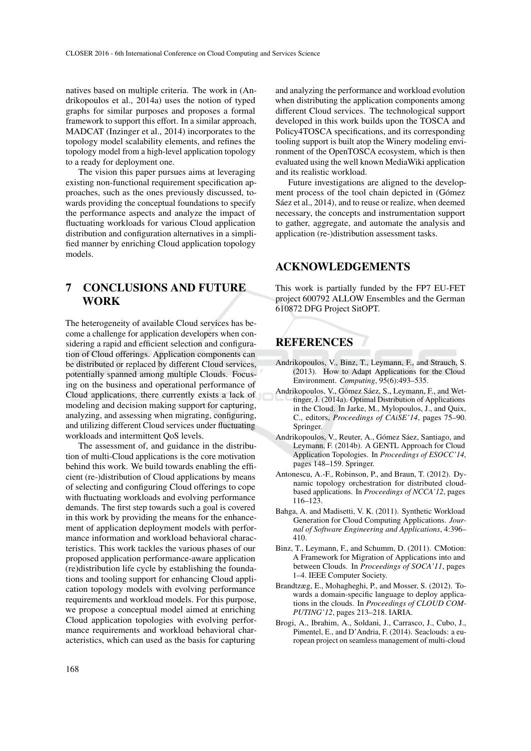natives based on multiple criteria. The work in (Andrikopoulos et al., 2014a) uses the notion of typed graphs for similar purposes and proposes a formal framework to support this effort. In a similar approach, MADCAT (Inzinger et al., 2014) incorporates to the topology model scalability elements, and refines the topology model from a high-level application topology to a ready for deployment one.

The vision this paper pursues aims at leveraging existing non-functional requirement specification approaches, such as the ones previously discussed, towards providing the conceptual foundations to specify the performance aspects and analyze the impact of fluctuating workloads for various Cloud application distribution and configuration alternatives in a simplified manner by enriching Cloud application topology models.

#### 7 CONCLUSIONS AND FUTURE **WORK**

The heterogeneity of available Cloud services has become a challenge for application developers when considering a rapid and efficient selection and configuration of Cloud offerings. Application components can be distributed or replaced by different Cloud services, potentially spanned among multiple Clouds. Focusing on the business and operational performance of Cloud applications, there currently exists a lack of modeling and decision making support for capturing, analyzing, and assessing when migrating, configuring, and utilizing different Cloud services under fluctuating workloads and intermittent QoS levels.

The assessment of, and guidance in the distribution of multi-Cloud applications is the core motivation behind this work. We build towards enabling the efficient (re-)distribution of Cloud applications by means of selecting and configuring Cloud offerings to cope with fluctuating workloads and evolving performance demands. The first step towards such a goal is covered in this work by providing the means for the enhancement of application deployment models with performance information and workload behavioral characteristics. This work tackles the various phases of our proposed application performance-aware application (re)distribution life cycle by establishing the foundations and tooling support for enhancing Cloud application topology models with evolving performance requirements and workload models. For this purpose, we propose a conceptual model aimed at enriching Cloud application topologies with evolving performance requirements and workload behavioral characteristics, which can used as the basis for capturing

and analyzing the performance and workload evolution when distributing the application components among different Cloud services. The technological support developed in this work builds upon the TOSCA and Policy4TOSCA specifications, and its corresponding tooling support is built atop the Winery modeling environment of the OpenTOSCA ecosystem, which is then evaluated using the well known MediaWiki application and its realistic workload.

Future investigations are aligned to the development process of the tool chain depicted in (Gómez Sáez et al., 2014), and to reuse or realize, when deemed necessary, the concepts and instrumentation support to gather, aggregate, and automate the analysis and application (re-)distribution assessment tasks.

#### ACKNOWLEDGEMENTS

This work is partially funded by the FP7 EU-FET project 600792 ALLOW Ensembles and the German 610872 DFG Project SitOPT.

# REFERENCES

- Andrikopoulos, V., Binz, T., Leymann, F., and Strauch, S. (2013). How to Adapt Applications for the Cloud Environment. *Computing*, 95(6):493–535.
- Andrikopoulos, V., Gómez Sáez, S., Leymann, F., and Wettinger, J. (2014a). Optimal Distribution of Applications in the Cloud. In Jarke, M., Mylopoulos, J., and Quix, C., editors, *Proceedings of CAiSE'14*, pages 75–90. Springer.
- Andrikopoulos, V., Reuter, A., Gómez Sáez, Santiago, and Leymann, F. (2014b). A GENTL Approach for Cloud Application Topologies. In *Proceedings of ESOCC'14*, pages 148–159. Springer.
- Antonescu, A.-F., Robinson, P., and Braun, T. (2012). Dynamic topology orchestration for distributed cloudbased applications. In *Proceedings of NCCA'12*, pages 116–123.
- Bahga, A. and Madisetti, V. K. (2011). Synthetic Workload Generation for Cloud Computing Applications. *Journal of Software Engineering and Applications*, 4:396– 410.
- Binz, T., Leymann, F., and Schumm, D. (2011). CMotion: A Framework for Migration of Applications into and between Clouds. In *Proceedings of SOCA'11*, pages 1–4. IEEE Computer Society.
- Brandtzæg, E., Mohagheghi, P., and Mosser, S. (2012). Towards a domain-specific language to deploy applications in the clouds. In *Proceedings of CLOUD COM-PUTING'12*, pages 213–218. IARIA.
- Brogi, A., Ibrahim, A., Soldani, J., Carrasco, J., Cubo, J., Pimentel, E., and D'Andria, F. (2014). Seaclouds: a european project on seamless management of multi-cloud